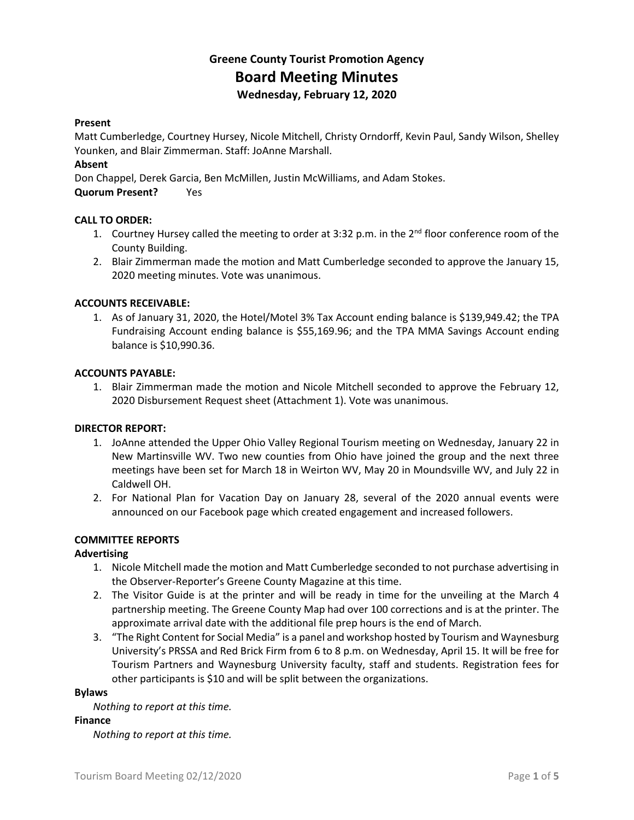### **Greene County Tourist Promotion Agency Board Meeting Minutes Wednesday, February 12, 2020**

#### **Present**

Matt Cumberledge, Courtney Hursey, Nicole Mitchell, Christy Orndorff, Kevin Paul, Sandy Wilson, Shelley Younken, and Blair Zimmerman. Staff: JoAnne Marshall.

#### **Absent**

Don Chappel, Derek Garcia, Ben McMillen, Justin McWilliams, and Adam Stokes.

**Quorum Present?** Yes

#### **CALL TO ORDER:**

- 1. Courtney Hursey called the meeting to order at 3:32 p.m. in the 2<sup>nd</sup> floor conference room of the County Building.
- 2. Blair Zimmerman made the motion and Matt Cumberledge seconded to approve the January 15, 2020 meeting minutes. Vote was unanimous.

#### **ACCOUNTS RECEIVABLE:**

1. As of January 31, 2020, the Hotel/Motel 3% Tax Account ending balance is \$139,949.42; the TPA Fundraising Account ending balance is \$55,169.96; and the TPA MMA Savings Account ending balance is \$10,990.36.

#### **ACCOUNTS PAYABLE:**

1. Blair Zimmerman made the motion and Nicole Mitchell seconded to approve the February 12, 2020 Disbursement Request sheet (Attachment 1). Vote was unanimous.

#### **DIRECTOR REPORT:**

- 1. JoAnne attended the Upper Ohio Valley Regional Tourism meeting on Wednesday, January 22 in New Martinsville WV. Two new counties from Ohio have joined the group and the next three meetings have been set for March 18 in Weirton WV, May 20 in Moundsville WV, and July 22 in Caldwell OH.
- 2. For National Plan for Vacation Day on January 28, several of the 2020 annual events were announced on our Facebook page which created engagement and increased followers.

#### **COMMITTEE REPORTS**

#### **Advertising**

- 1. Nicole Mitchell made the motion and Matt Cumberledge seconded to not purchase advertising in the Observer-Reporter's Greene County Magazine at this time.
- 2. The Visitor Guide is at the printer and will be ready in time for the unveiling at the March 4 partnership meeting. The Greene County Map had over 100 corrections and is at the printer. The approximate arrival date with the additional file prep hours is the end of March.
- 3. "The Right Content for Social Media" is a panel and workshop hosted by Tourism and Waynesburg University's PRSSA and Red Brick Firm from 6 to 8 p.m. on Wednesday, April 15. It will be free for Tourism Partners and Waynesburg University faculty, staff and students. Registration fees for other participants is \$10 and will be split between the organizations.

#### **Bylaws**

*Nothing to report at this time.*

#### **Finance**

*Nothing to report at this time.*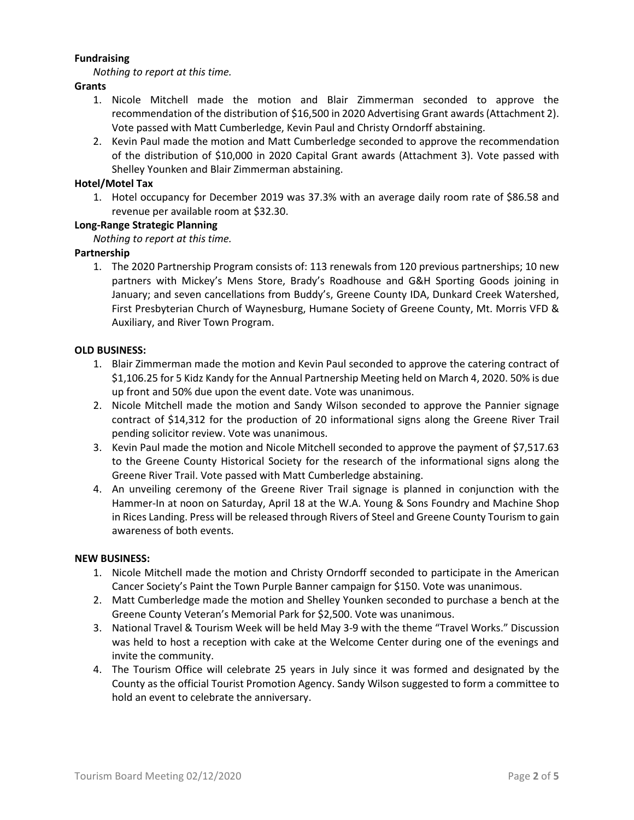#### **Fundraising**

*Nothing to report at this time.*

#### **Grants**

- 1. Nicole Mitchell made the motion and Blair Zimmerman seconded to approve the recommendation of the distribution of \$16,500 in 2020 Advertising Grant awards (Attachment 2). Vote passed with Matt Cumberledge, Kevin Paul and Christy Orndorff abstaining.
- 2. Kevin Paul made the motion and Matt Cumberledge seconded to approve the recommendation of the distribution of \$10,000 in 2020 Capital Grant awards (Attachment 3). Vote passed with Shelley Younken and Blair Zimmerman abstaining.

#### **Hotel/Motel Tax**

1. Hotel occupancy for December 2019 was 37.3% with an average daily room rate of \$86.58 and revenue per available room at \$32.30.

#### **Long-Range Strategic Planning**

*Nothing to report at this time.*

#### **Partnership**

1. The 2020 Partnership Program consists of: 113 renewals from 120 previous partnerships; 10 new partners with Mickey's Mens Store, Brady's Roadhouse and G&H Sporting Goods joining in January; and seven cancellations from Buddy's, Greene County IDA, Dunkard Creek Watershed, First Presbyterian Church of Waynesburg, Humane Society of Greene County, Mt. Morris VFD & Auxiliary, and River Town Program.

#### **OLD BUSINESS:**

- 1. Blair Zimmerman made the motion and Kevin Paul seconded to approve the catering contract of \$1,106.25 for 5 Kidz Kandy for the Annual Partnership Meeting held on March 4, 2020. 50% is due up front and 50% due upon the event date. Vote was unanimous.
- 2. Nicole Mitchell made the motion and Sandy Wilson seconded to approve the Pannier signage contract of \$14,312 for the production of 20 informational signs along the Greene River Trail pending solicitor review. Vote was unanimous.
- 3. Kevin Paul made the motion and Nicole Mitchell seconded to approve the payment of \$7,517.63 to the Greene County Historical Society for the research of the informational signs along the Greene River Trail. Vote passed with Matt Cumberledge abstaining.
- 4. An unveiling ceremony of the Greene River Trail signage is planned in conjunction with the Hammer-In at noon on Saturday, April 18 at the W.A. Young & Sons Foundry and Machine Shop in Rices Landing. Press will be released through Rivers of Steel and Greene County Tourism to gain awareness of both events.

#### **NEW BUSINESS:**

- 1. Nicole Mitchell made the motion and Christy Orndorff seconded to participate in the American Cancer Society's Paint the Town Purple Banner campaign for \$150. Vote was unanimous.
- 2. Matt Cumberledge made the motion and Shelley Younken seconded to purchase a bench at the Greene County Veteran's Memorial Park for \$2,500. Vote was unanimous.
- 3. National Travel & Tourism Week will be held May 3-9 with the theme "Travel Works." Discussion was held to host a reception with cake at the Welcome Center during one of the evenings and invite the community.
- 4. The Tourism Office will celebrate 25 years in July since it was formed and designated by the County as the official Tourist Promotion Agency. Sandy Wilson suggested to form a committee to hold an event to celebrate the anniversary.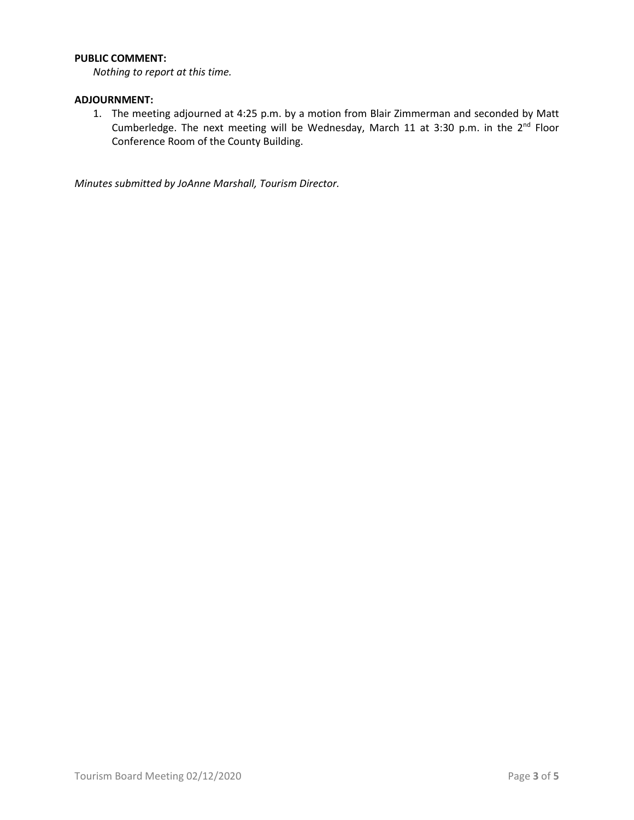#### **PUBLIC COMMENT:**

*Nothing to report at this time.*

#### **ADJOURNMENT:**

1. The meeting adjourned at 4:25 p.m. by a motion from Blair Zimmerman and seconded by Matt Cumberledge. The next meeting will be Wednesday, March 11 at 3:30 p.m. in the  $2^{nd}$  Floor Conference Room of the County Building.

*Minutes submitted by JoAnne Marshall, Tourism Director.*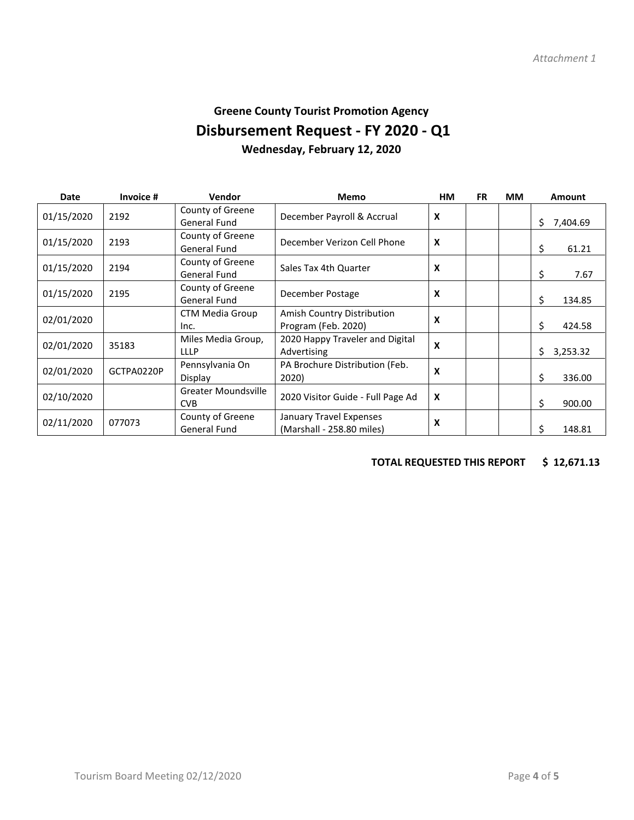## **Greene County Tourist Promotion Agency Disbursement Request - FY 2020 - Q1 Wednesday, February 12, 2020**

| <b>Date</b> | Invoice #  | Vendor              | <b>Memo</b>                                              | <b>HM</b>                 | <b>FR</b> | MМ             | <b>Amount</b>  |
|-------------|------------|---------------------|----------------------------------------------------------|---------------------------|-----------|----------------|----------------|
| 01/15/2020  | 2192       | County of Greene    | December Payroll & Accrual<br>$\boldsymbol{\mathsf{x}}$  |                           |           |                |                |
|             |            | <b>General Fund</b> |                                                          |                           |           | \$<br>7,404.69 |                |
| 01/15/2020  | 2193       | County of Greene    | $\boldsymbol{\mathsf{x}}$<br>December Verizon Cell Phone |                           |           |                |                |
|             |            | <b>General Fund</b> |                                                          |                           |           |                | \$<br>61.21    |
| 01/15/2020  | 2194       | County of Greene    | Sales Tax 4th Quarter                                    | $\boldsymbol{\mathsf{x}}$ |           |                |                |
|             |            | <b>General Fund</b> |                                                          |                           |           |                | \$<br>7.67     |
| 01/15/2020  | 2195       | County of Greene    | December Postage                                         | X                         |           |                |                |
|             |            | <b>General Fund</b> |                                                          |                           |           |                | \$<br>134.85   |
| 02/01/2020  |            | CTM Media Group     | Amish Country Distribution                               | X                         |           |                |                |
|             |            | Inc.                | Program (Feb. 2020)                                      |                           |           |                | \$<br>424.58   |
| 02/01/2020  | 35183      | Miles Media Group,  | 2020 Happy Traveler and Digital                          | $\boldsymbol{\mathsf{x}}$ |           |                |                |
|             |            | <b>LLLP</b>         | Advertising                                              |                           |           |                | Ś.<br>3,253.32 |
| 02/01/2020  | GCTPA0220P | Pennsylvania On     | PA Brochure Distribution (Feb.                           | X                         |           |                |                |
|             |            | Display             | 2020)                                                    |                           |           |                | \$<br>336.00   |
| 02/10/2020  |            | Greater Moundsville |                                                          | $\boldsymbol{x}$          |           |                |                |
|             |            | <b>CVB</b>          | 2020 Visitor Guide - Full Page Ad                        |                           |           |                | \$<br>900.00   |
| 02/11/2020  | 077073     | County of Greene    | January Travel Expenses                                  | X                         |           |                |                |
|             |            | <b>General Fund</b> | (Marshall - 258.80 miles)                                |                           |           |                | Ś.<br>148.81   |

### **TOTAL REQUESTED THIS REPORT \$ 12,671.13**